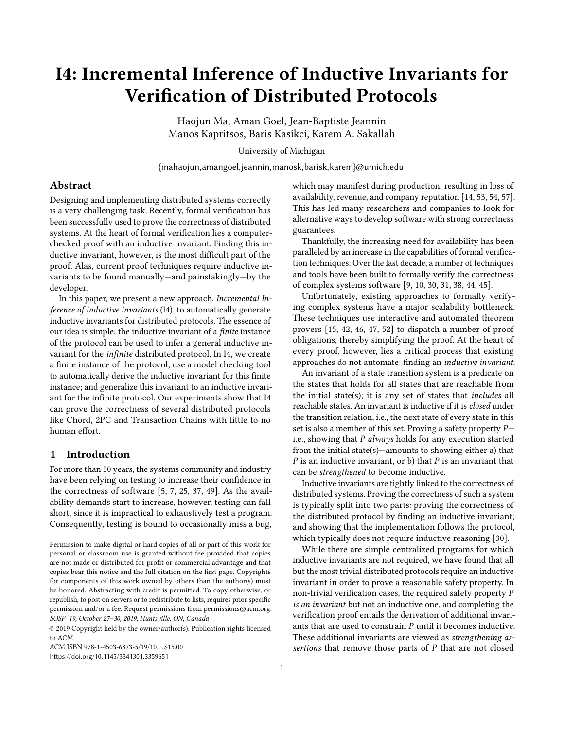# I4: Incremental Inference of Inductive Invariants for Verification of Distributed Protocols

Haojun Ma, Aman Goel, Jean-Baptiste Jeannin Manos Kapritsos, Baris Kasikci, Karem A. Sakallah

University of Michigan

{mahaojun,amangoel,jeannin,manosk,barisk,karem}@umich.edu

# Abstract

Designing and implementing distributed systems correctly is a very challenging task. Recently, formal verification has been successfully used to prove the correctness of distributed systems. At the heart of formal verification lies a computerchecked proof with an inductive invariant. Finding this inductive invariant, however, is the most difficult part of the proof. Alas, current proof techniques require inductive invariants to be found manually—and painstakingly—by the developer.

In this paper, we present a new approach, Incremental Inference of Inductive Invariants (I4), to automatically generate inductive invariants for distributed protocols. The essence of our idea is simple: the inductive invariant of a finite instance of the protocol can be used to infer a general inductive invariant for the infinite distributed protocol. In I4, we create a finite instance of the protocol; use a model checking tool to automatically derive the inductive invariant for this finite instance; and generalize this invariant to an inductive invariant for the infinite protocol. Our experiments show that I4 can prove the correctness of several distributed protocols like Chord, 2PC and Transaction Chains with little to no human effort.

# 1 Introduction

For more than 50 years, the systems community and industry have been relying on testing to increase their confidence in the correctness of software [\[5,](#page-12-0) [7,](#page-12-1) [25,](#page-13-0) [37,](#page-13-1) [49\]](#page-13-2). As the availability demands start to increase, however, testing can fall short, since it is impractical to exhaustively test a program. Consequently, testing is bound to occasionally miss a bug,

ACM ISBN 978-1-4503-6873-5/19/10...\$15.00 <https://doi.org/10.1145/3341301.3359651>

which may manifest during production, resulting in loss of availability, revenue, and company reputation [\[14,](#page-12-2) [53,](#page-13-3) [54,](#page-13-4) [57\]](#page-14-0). This has led many researchers and companies to look for alternative ways to develop software with strong correctness guarantees.

Thankfully, the increasing need for availability has been paralleled by an increase in the capabilities of formal verification techniques. Over the last decade, a number of techniques and tools have been built to formally verify the correctness of complex systems software [\[9,](#page-12-3) [10,](#page-12-4) [30,](#page-13-5) [31,](#page-13-6) [38,](#page-13-7) [44,](#page-13-8) [45\]](#page-13-9).

Unfortunately, existing approaches to formally verifying complex systems have a major scalability bottleneck. These techniques use interactive and automated theorem provers [\[15,](#page-12-5) [42,](#page-13-10) [46,](#page-13-11) [47,](#page-13-12) [52\]](#page-13-13) to dispatch a number of proof obligations, thereby simplifying the proof. At the heart of every proof, however, lies a critical process that existing approaches do not automate: finding an inductive invariant.

An invariant of a state transition system is a predicate on the states that holds for all states that are reachable from the initial state(s); it is any set of states that includes all reachable states. An invariant is inductive if it is closed under the transition relation, i.e., the next state of every state in this set is also a member of this set. Proving a safety property P i.e., showing that  $P$  always holds for any execution started from the initial state(s)—amounts to showing either a) that  $P$  is an inductive invariant, or b) that  $P$  is an invariant that can be strengthened to become inductive.

Inductive invariants are tightly linked to the correctness of distributed systems. Proving the correctness of such a system is typically split into two parts: proving the correctness of the distributed protocol by finding an inductive invariant; and showing that the implementation follows the protocol, which typically does not require inductive reasoning [\[30\]](#page-13-5).

While there are simple centralized programs for which inductive invariants are not required, we have found that all but the most trivial distributed protocols require an inductive invariant in order to prove a reasonable safety property. In non-trivial verification cases, the required safety property P is an invariant but not an inductive one, and completing the verification proof entails the derivation of additional invariants that are used to constrain P until it becomes inductive. These additional invariants are viewed as strengthening assertions that remove those parts of  $P$  that are not closed

Permission to make digital or hard copies of all or part of this work for personal or classroom use is granted without fee provided that copies are not made or distributed for profit or commercial advantage and that copies bear this notice and the full citation on the first page. Copyrights for components of this work owned by others than the author(s) must be honored. Abstracting with credit is permitted. To copy otherwise, or republish, to post on servers or to redistribute to lists, requires prior specific permission and/or a fee. Request permissions from permissions@acm.org. SOSP '19, October 27–30, 2019, Huntsville, ON, Canada

<sup>©</sup> 2019 Copyright held by the owner/author(s). Publication rights licensed to ACM.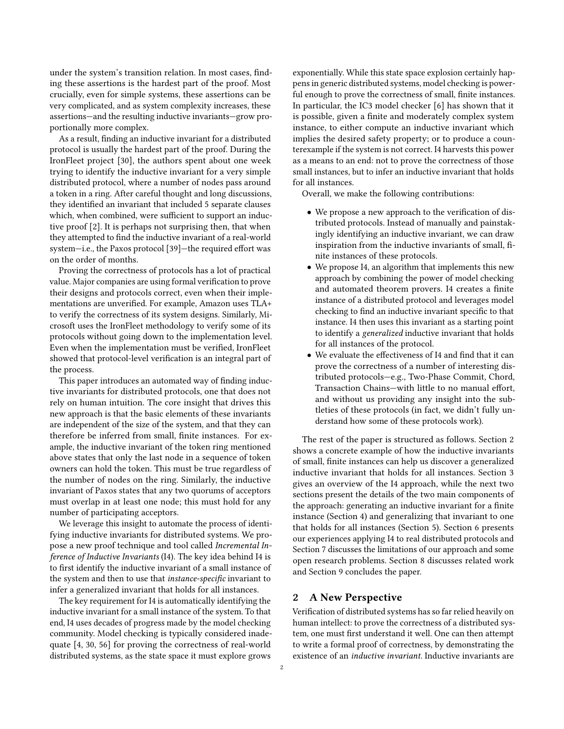under the system's transition relation. In most cases, finding these assertions is the hardest part of the proof. Most crucially, even for simple systems, these assertions can be very complicated, and as system complexity increases, these assertions—and the resulting inductive invariants—grow proportionally more complex.

As a result, finding an inductive invariant for a distributed protocol is usually the hardest part of the proof. During the IronFleet project [\[30\]](#page-13-5), the authors spent about one week trying to identify the inductive invariant for a very simple distributed protocol, where a number of nodes pass around a token in a ring. After careful thought and long discussions, they identified an invariant that included 5 separate clauses which, when combined, were sufficient to support an inductive proof [\[2\]](#page-12-6). It is perhaps not surprising then, that when they attempted to find the inductive invariant of a real-world system—i.e., the Paxos protocol [\[39\]](#page-13-14)—the required effort was on the order of months.

Proving the correctness of protocols has a lot of practical value. Major companies are using formal verification to prove their designs and protocols correct, even when their implementations are unverified. For example, Amazon uses TLA+ to verify the correctness of its system designs. Similarly, Microsoft uses the IronFleet methodology to verify some of its protocols without going down to the implementation level. Even when the implementation must be verified, IronFleet showed that protocol-level verification is an integral part of the process.

This paper introduces an automated way of finding inductive invariants for distributed protocols, one that does not rely on human intuition. The core insight that drives this new approach is that the basic elements of these invariants are independent of the size of the system, and that they can therefore be inferred from small, finite instances. For example, the inductive invariant of the token ring mentioned above states that only the last node in a sequence of token owners can hold the token. This must be true regardless of the number of nodes on the ring. Similarly, the inductive invariant of Paxos states that any two quorums of acceptors must overlap in at least one node; this must hold for any number of participating acceptors.

We leverage this insight to automate the process of identifying inductive invariants for distributed systems. We propose a new proof technique and tool called Incremental Inference of Inductive Invariants (I4). The key idea behind I4 is to first identify the inductive invariant of a small instance of the system and then to use that instance-specific invariant to infer a generalized invariant that holds for all instances.

The key requirement for I4 is automatically identifying the inductive invariant for a small instance of the system. To that end, I4 uses decades of progress made by the model checking community. Model checking is typically considered inadequate [\[4,](#page-12-7) [30,](#page-13-5) [56\]](#page-14-1) for proving the correctness of real-world distributed systems, as the state space it must explore grows

exponentially. While this state space explosion certainly happens in generic distributed systems, model checking is powerful enough to prove the correctness of small, finite instances. In particular, the IC3 model checker [\[6\]](#page-12-8) has shown that it is possible, given a finite and moderately complex system instance, to either compute an inductive invariant which implies the desired safety property; or to produce a counterexample if the system is not correct. I4 harvests this power as a means to an end: not to prove the correctness of those small instances, but to infer an inductive invariant that holds for all instances.

Overall, we make the following contributions:

- We propose a new approach to the verification of distributed protocols. Instead of manually and painstakingly identifying an inductive invariant, we can draw inspiration from the inductive invariants of small, finite instances of these protocols.
- We propose I4, an algorithm that implements this new approach by combining the power of model checking and automated theorem provers. I4 creates a finite instance of a distributed protocol and leverages model checking to find an inductive invariant specific to that instance. I4 then uses this invariant as a starting point to identify a generalized inductive invariant that holds for all instances of the protocol.
- We evaluate the effectiveness of I4 and find that it can prove the correctness of a number of interesting distributed protocols—e.g., Two-Phase Commit, Chord, Transaction Chains—with little to no manual effort, and without us providing any insight into the subtleties of these protocols (in fact, we didn't fully understand how some of these protocols work).

The rest of the paper is structured as follows. Section [2](#page-1-0) shows a concrete example of how the inductive invariants of small, finite instances can help us discover a generalized inductive invariant that holds for all instances. Section [3](#page-2-0) gives an overview of the I4 approach, while the next two sections present the details of the two main components of the approach: generating an inductive invariant for a finite instance (Section [4\)](#page-3-0) and generalizing that invariant to one that holds for all instances (Section [5\)](#page-6-0). Section [6](#page-7-0) presents our experiences applying I4 to real distributed protocols and Section [7](#page-10-0) discusses the limitations of our approach and some open research problems. Section [8](#page-11-0) discusses related work and Section [9](#page-12-9) concludes the paper.

# <span id="page-1-0"></span>2 A New Perspective

Verification of distributed systems has so far relied heavily on human intellect: to prove the correctness of a distributed system, one must first understand it well. One can then attempt to write a formal proof of correctness, by demonstrating the existence of an inductive invariant. Inductive invariants are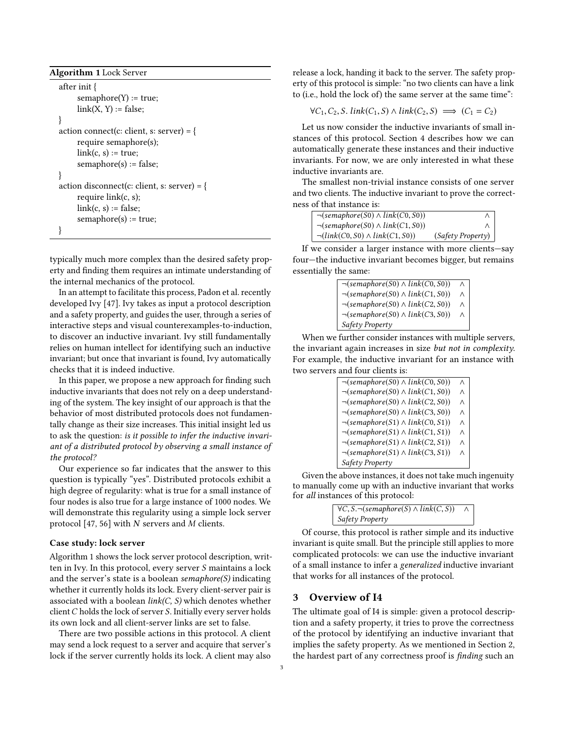```
Algorithm 1 Lock Server
```

| after init $\{$                             |
|---------------------------------------------|
| $semaphere(Y) := true;$                     |
| $link(X, Y) := false;$                      |
|                                             |
| action connect(c: client, s: server) = {    |
| require semaphore(s);                       |
| $link(c, s) := true;$                       |
| $semaphere(s) := false;$                    |
|                                             |
| action disconnect(c: client, s: server) = { |
| require $link(c, s)$ ;                      |
| $link(c, s) := false;$                      |
| $semaphere(s) := true;$                     |
|                                             |

typically much more complex than the desired safety property and finding them requires an intimate understanding of the internal mechanics of the protocol.

In an attempt to facilitate this process, Padon et al. recently developed Ivy [\[47\]](#page-13-12). Ivy takes as input a protocol description and a safety property, and guides the user, through a series of interactive steps and visual counterexamples-to-induction, to discover an inductive invariant. Ivy still fundamentally relies on human intellect for identifying such an inductive invariant; but once that invariant is found, Ivy automatically checks that it is indeed inductive.

In this paper, we propose a new approach for finding such inductive invariants that does not rely on a deep understanding of the system. The key insight of our approach is that the behavior of most distributed protocols does not fundamentally change as their size increases. This initial insight led us to ask the question: is it possible to infer the inductive invariant of a distributed protocol by observing a small instance of the protocol?

Our experience so far indicates that the answer to this question is typically "yes". Distributed protocols exhibit a high degree of regularity: what is true for a small instance of four nodes is also true for a large instance of 1000 nodes. We will demonstrate this regularity using a simple lock server protocol [\[47,](#page-13-12) [56\]](#page-14-1) with  $N$  servers and  $M$  clients.

## Case study: lock server

Algorithm [1](#page-2-1) shows the lock server protocol description, written in Ivy. In this protocol, every server S maintains a lock and the server's state is a boolean semaphore $(S)$  indicating whether it currently holds its lock. Every client-server pair is associated with a boolean  $link(C, S)$  which denotes whether client C holds the lock of server S. Initially every server holds its own lock and all client-server links are set to false.

There are two possible actions in this protocol. A client may send a lock request to a server and acquire that server's lock if the server currently holds its lock. A client may also release a lock, handing it back to the server. The safety property of this protocol is simple: "no two clients can have a link to (i.e., hold the lock of) the same server at the same time":

$$
\forall C_1, C_2, S. \, link(C_1, S) \land link(C_2, S) \implies (C_1 = C_2)
$$

Let us now consider the inductive invariants of small instances of this protocol. Section [4](#page-3-0) describes how we can automatically generate these instances and their inductive invariants. For now, we are only interested in what these inductive invariants are.

The smallest non-trivial instance consists of one server and two clients. The inductive invariant to prove the correctness of that instance is:

| $\neg$ (semaphore(S0) $\land$ link(C0, S0))            |                   |
|--------------------------------------------------------|-------------------|
| $\neg (semaphere(S0) \land link(C1, S0))$              |                   |
| $\neg (link(C0, S0) \land link(C1, S0))$               | (Safety Property) |
| If we consider a larger instance with more clients—sav |                   |

four—the inductive invariant becomes bigger, but remains essentially the same:

| $\neg$ (semaphore(S0) $\land$ link(C0, S0)) | $\wedge$ |
|---------------------------------------------|----------|
| $\neg (semaphere(S0) \wedge link(C1, S0))$  | $\wedge$ |
| $\neg (semaphere(S0) \land link(C2, S0))$   |          |
| $\neg$ (semaphore(S0) $\land$ link(C3, S0)) | $\wedge$ |
| Safety Property                             |          |

When we further consider instances with multiple servers, the invariant again increases in size but not in complexity. For example, the inductive invariant for an instance with two servers and four clients is:

| $\neg (semaphere(S0) \wedge link(C0, S0))$  | $\wedge$ |
|---------------------------------------------|----------|
| $\neg (semaphere(S0) \land link(C1, S0))$   | $\wedge$ |
| $\neg$ (semaphore(S0) $\land$ link(C2, S0)) | Λ        |
| $\neg (semaphere(S0) \land link(C3, S0))$   | Λ        |
| $\neg (semaphere(S1) \land link(C0, S1))$   | $\wedge$ |
| $\neg$ (semaphore(S1) $\land$ link(C1, S1)) | Λ        |
| $\neg$ (semaphore(S1) $\land$ link(C2, S1)) | Λ        |
| $\neg$ (semaphore(S1) $\land$ link(C3, S1)) | Λ        |
| Safety Property                             |          |

Given the above instances, it does not take much ingenuity to manually come up with an inductive invariant that works for all instances of this protocol:

 $\forall C, S. \neg (semaphere(S) \land link(C, S)) \land \neg \land$ Safety Property

Of course, this protocol is rather simple and its inductive invariant is quite small. But the principle still applies to more complicated protocols: we can use the inductive invariant of a small instance to infer a generalized inductive invariant that works for all instances of the protocol.

# <span id="page-2-0"></span>3 Overview of I4

The ultimate goal of I4 is simple: given a protocol description and a safety property, it tries to prove the correctness of the protocol by identifying an inductive invariant that implies the safety property. As we mentioned in Section [2,](#page-1-0) the hardest part of any correctness proof is finding such an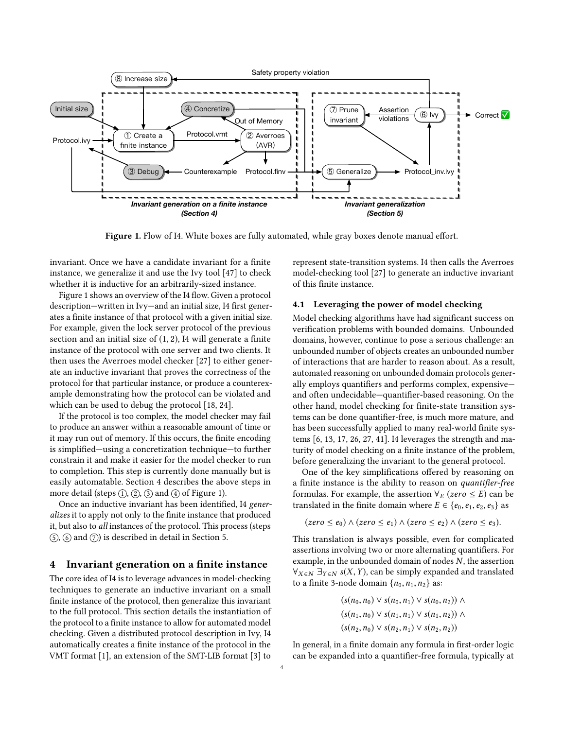<span id="page-3-1"></span>

Figure 1. Flow of I4. White boxes are fully automated, while gray boxes denote manual effort.

invariant. Once we have a candidate invariant for a finite instance, we generalize it and use the Ivy tool [\[47\]](#page-13-12) to check whether it is inductive for an arbitrarily-sized instance.

Figure [1](#page-3-1) shows an overview of the I4 flow. Given a protocol description—written in Ivy—and an initial size, I4 first generates a finite instance of that protocol with a given initial size. For example, given the lock server protocol of the previous section and an initial size of (1, <sup>2</sup>), I4 will generate a finite instance of the protocol with one server and two clients. It then uses the Averroes model checker [\[27\]](#page-13-15) to either generate an inductive invariant that proves the correctness of the protocol for that particular instance, or produce a counterexample demonstrating how the protocol can be violated and which can be used to debug the protocol [\[18,](#page-13-16) [24\]](#page-13-17).

If the protocol is too complex, the model checker may fail to produce an answer within a reasonable amount of time or it may run out of memory. If this occurs, the finite encoding is simplified—using a concretization technique—to further constrain it and make it easier for the model checker to run to completion. This step is currently done manually but is easily automatable. Section [4](#page-3-0) describes the above steps in more detail (steps  $(1)$ ,  $(2)$ ,  $(3)$  and  $(4)$  of Figure [1\)](#page-3-1).

Once an inductive invariant has been identified, I4 generalizes it to apply not only to the finite instance that produced it, but also to all instances of the protocol. This process (steps  $(5)$ ,  $(6)$  and  $(7)$ ) is described in detail in Section [5.](#page-6-0)

## <span id="page-3-0"></span>4 Invariant generation on a finite instance

The core idea of I4 is to leverage advances in model-checking techniques to generate an inductive invariant on a small finite instance of the protocol, then generalize this invariant to the full protocol. This section details the instantiation of the protocol to a finite instance to allow for automated model checking. Given a distributed protocol description in Ivy, I4 automatically creates a finite instance of the protocol in the VMT format [\[1\]](#page-12-10), an extension of the SMT-LIB format [\[3\]](#page-12-11) to represent state-transition systems. I4 then calls the Averroes model-checking tool [\[27\]](#page-13-15) to generate an inductive invariant of this finite instance.

## 4.1 Leveraging the power of model checking

Model checking algorithms have had significant success on verification problems with bounded domains. Unbounded domains, however, continue to pose a serious challenge: an unbounded number of objects creates an unbounded number of interactions that are harder to reason about. As a result, automated reasoning on unbounded domain protocols generally employs quantifiers and performs complex, expensive and often undecidable—quantifier-based reasoning. On the other hand, model checking for finite-state transition systems can be done quantifier-free, is much more mature, and has been successfully applied to many real-world finite systems [\[6,](#page-12-8) [13,](#page-12-12) [17,](#page-13-18) [26,](#page-13-19) [27,](#page-13-15) [41\]](#page-13-20). I4 leverages the strength and maturity of model checking on a finite instance of the problem, before generalizing the invariant to the general protocol.

One of the key simplifications offered by reasoning on a finite instance is the ability to reason on quantifier-free formulas. For example, the assertion  $\forall E (zero \le E)$  can be translated in the finite domain where  $E \in \{e, e, e, e, e\}$ translated in the finite domain where  $E \in \{e_0, e_1, e_2, e_3\}$  as

$$
(zero \le e_0) \land (zero \le e_1) \land (zero \le e_2) \land (zero \le e_3).
$$

This translation is always possible, even for complicated assertions involving two or more alternating quantifiers. For example, in the unbounded domain of nodes N, the assertion  $\forall x \in \mathbb{N}$   $\exists y \in \mathbb{N}$  s(X, Y), can be simply expanded and translated to a finite 3-node domain  $\{p_0, p_1, p_2\}$  as: to a finite 3-node domain  $\{n_0, n_1, n_2\}$  as:

$$
(s(n_0, n_0) \vee s(n_0, n_1) \vee s(n_0, n_2)) \wedge (s(n_1, n_0) \vee s(n_1, n_1) \vee s(n_1, n_2)) \wedge (s(n_2, n_0) \vee s(n_2, n_1) \vee s(n_2, n_2))
$$

In general, in a finite domain any formula in first-order logic can be expanded into a quantifier-free formula, typically at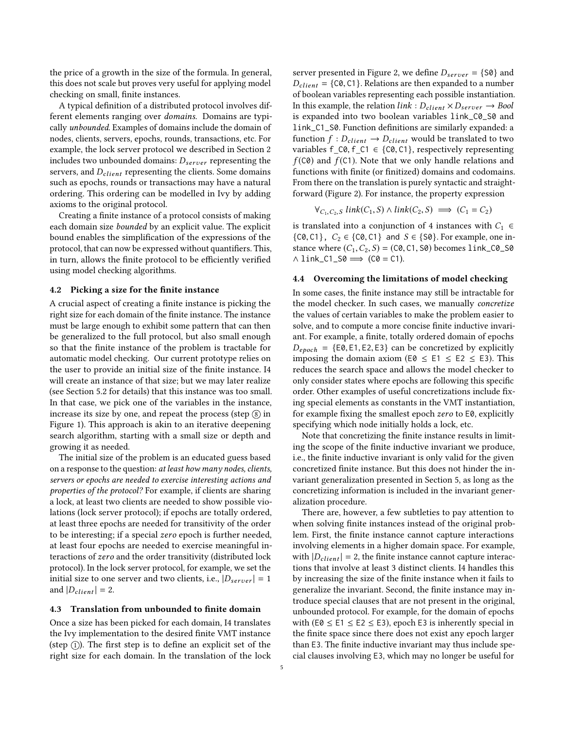the price of a growth in the size of the formula. In general, this does not scale but proves very useful for applying model checking on small, finite instances.

A typical definition of a distributed protocol involves different elements ranging over domains. Domains are typically unbounded. Examples of domains include the domain of nodes, clients, servers, epochs, rounds, transactions, etc. For example, the lock server protocol we described in Section [2](#page-1-0) includes two unbounded domains:  $D_{server}$  representing the servers, and  $D_{client}$  representing the clients. Some domains such as epochs, rounds or transactions may have a natural ordering. This ordering can be modelled in Ivy by adding axioms to the original protocol.

Creating a finite instance of a protocol consists of making each domain size bounded by an explicit value. The explicit bound enables the simplification of the expressions of the protocol, that can now be expressed without quantifiers. This, in turn, allows the finite protocol to be efficiently verified using model checking algorithms.

#### 4.2 Picking a size for the finite instance

A crucial aspect of creating a finite instance is picking the right size for each domain of the finite instance. The instance must be large enough to exhibit some pattern that can then be generalized to the full protocol, but also small enough so that the finite instance of the problem is tractable for automatic model checking. Our current prototype relies on the user to provide an initial size of the finite instance. I4 will create an instance of that size; but we may later realize (see Section [5.2](#page-7-1) for details) that this instance was too small. In that case, we pick one of the variables in the instance, increase its size by one, and repeat the process (step  $(\text{8})$  in Figure [1\)](#page-3-1). This approach is akin to an iterative deepening search algorithm, starting with a small size or depth and growing it as needed.

The initial size of the problem is an educated guess based on a response to the question: at least how many nodes, clients, servers or epochs are needed to exercise interesting actions and properties of the protocol? For example, if clients are sharing a lock, at least two clients are needed to show possible violations (lock server protocol); if epochs are totally ordered, at least three epochs are needed for transitivity of the order to be interesting; if a special zero epoch is further needed, at least four epochs are needed to exercise meaningful interactions of zero and the order transitivity (distributed lock protocol). In the lock server protocol, for example, we set the initial size to one server and two clients, i.e.,  $|D_{server}| = 1$ and  $|D_{client}| = 2$ .

#### 4.3 Translation from unbounded to finite domain

Once a size has been picked for each domain, I4 translates the Ivy implementation to the desired finite VMT instance (step  $(1)$ ). The first step is to define an explicit set of the right size for each domain. In the translation of the lock server presented in Figure [2,](#page-5-0) we define  $D_{server} = \{S0\}$  and  $D_{client} = \{C0, C1\}$ . Relations are then expanded to a number of boolean variables representing each possible instantiation. In this example, the relation  $link: D_{client} \times D_{server} \rightarrow Bool$ is expanded into two boolean variables link\_C0\_S0 and link\_C1\_S0. Function definitions are similarly expanded: a function  $f : D_{client} \rightarrow D_{client}$  would be translated to two variables  $f_C0, f_C1 \in \{C0, C1\}$ , respectively representing  $f(C0)$  and  $f(C1)$ . Note that we only handle relations and functions with finite (or finitized) domains and codomains. From there on the translation is purely syntactic and straightforward (Figure [2\)](#page-5-0). For instance, the property expression

$$
\forall_{C_1, C_2, S} \ link(C_1, S) \land link(C_2, S) \implies (C_1 = C_2)
$$

is translated into a conjunction of 4 instances with  $C_1 \in$  $\{C0, C1\}$ ,  $C_2 \in \{C0, C1\}$  and  $S \in \{S0\}$ . For example, one instance where  $(C_1, C_2, S) = (C_0, C_1, S_0)$  becomes link\_ $C_0$ \_S0  $\land$  link\_C1\_S0  $\Longrightarrow$  (C0 = C1).

## <span id="page-4-0"></span>4.4 Overcoming the limitations of model checking

In some cases, the finite instance may still be intractable for the model checker. In such cases, we manually concretize the values of certain variables to make the problem easier to solve, and to compute a more concise finite inductive invariant. For example, a finite, totally ordered domain of epochs  $D_{epoch} = \{E0, E1, E2, E3\}$  can be concretized by explicitly imposing the domain axiom (E0  $\leq$  E1  $\leq$  E2  $\leq$  E3). This reduces the search space and allows the model checker to only consider states where epochs are following this specific order. Other examples of useful concretizations include fixing special elements as constants in the VMT instantiation, for example fixing the smallest epoch zero to E0, explicitly specifying which node initially holds a lock, etc.

Note that concretizing the finite instance results in limiting the scope of the finite inductive invariant we produce, i.e., the finite inductive invariant is only valid for the given concretized finite instance. But this does not hinder the invariant generalization presented in Section [5,](#page-6-0) as long as the concretizing information is included in the invariant generalization procedure.

There are, however, a few subtleties to pay attention to when solving finite instances instead of the original problem. First, the finite instance cannot capture interactions involving elements in a higher domain space. For example, with  $|D_{client}| = 2$ , the finite instance cannot capture interactions that involve at least 3 distinct clients. I4 handles this by increasing the size of the finite instance when it fails to generalize the invariant. Second, the finite instance may introduce special clauses that are not present in the original, unbounded protocol. For example, for the domain of epochs with (E0  $\leq$  E1  $\leq$  E2  $\leq$  E3), epoch E3 is inherently special in the finite space since there does not exist any epoch larger than E3. The finite inductive invariant may thus include special clauses involving E3, which may no longer be useful for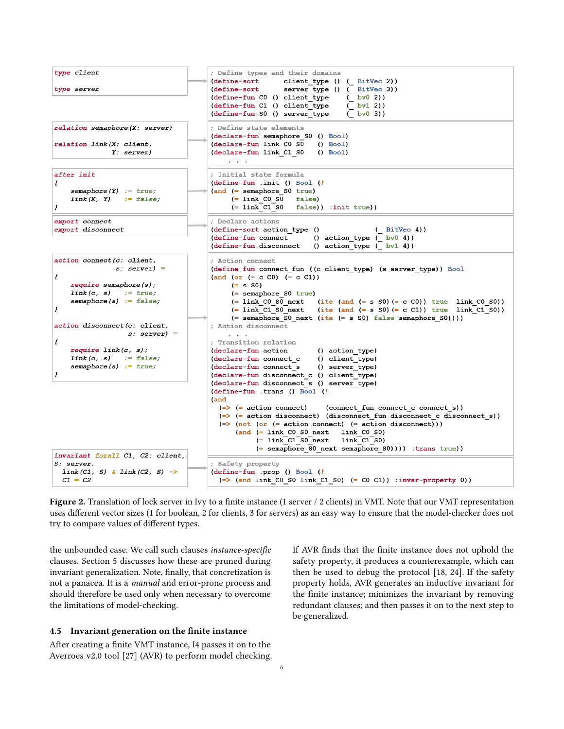<span id="page-5-0"></span>

Figure 2. Translation of lock server in Ivy to a finite instance (1 server / 2 clients) in VMT. Note that our VMT representation uses different vector sizes (1 for boolean, 2 for clients, 3 for servers) as an easy way to ensure that the model-checker does not try to compare values of different types.

the unbounded case. We call such clauses instance-specific clauses. Section [5](#page-6-0) discusses how these are pruned during invariant generalization. Note, finally, that concretization is not a panacea. It is a manual and error-prone process and should therefore be used only when necessary to overcome the limitations of model-checking.

#### 4.5 Invariant generation on the finite instance

After creating a finite VMT instance, I4 passes it on to the Averroes v2.0 tool [\[27\]](#page-13-15) (AVR) to perform model checking. If AVR finds that the finite instance does not uphold the safety property, it produces a counterexample, which can then be used to debug the protocol [\[18,](#page-13-16) [24\]](#page-13-17). If the safety property holds, AVR generates an inductive invariant for the finite instance; minimizes the invariant by removing redundant clauses; and then passes it on to the next step to be generalized.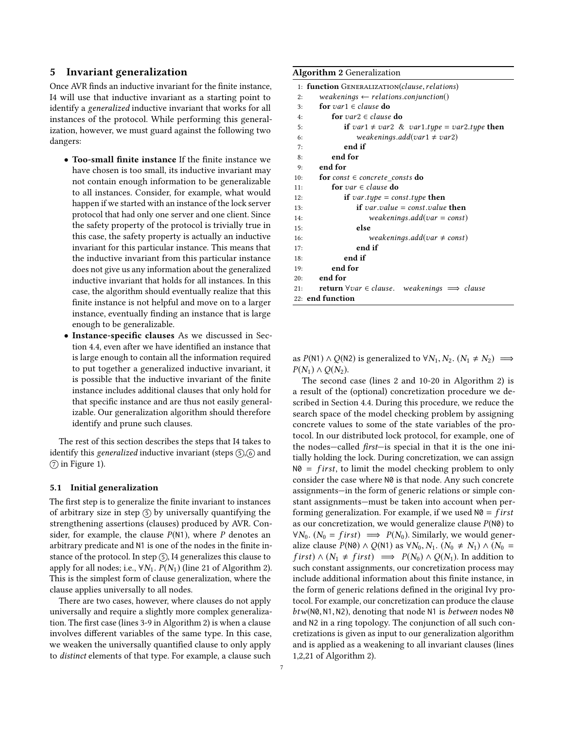## <span id="page-6-0"></span>5 Invariant generalization

Once AVR finds an inductive invariant for the finite instance, I4 will use that inductive invariant as a starting point to identify a generalized inductive invariant that works for all instances of the protocol. While performing this generalization, however, we must guard against the following two dangers:

- Too-small finite instance If the finite instance we have chosen is too small, its inductive invariant may not contain enough information to be generalizable to all instances. Consider, for example, what would happen if we started with an instance of the lock server protocol that had only one server and one client. Since the safety property of the protocol is trivially true in this case, the safety property is actually an inductive invariant for this particular instance. This means that the inductive invariant from this particular instance does not give us any information about the generalized inductive invariant that holds for all instances. In this case, the algorithm should eventually realize that this finite instance is not helpful and move on to a larger instance, eventually finding an instance that is large enough to be generalizable.
- Instance-specific clauses As we discussed in Section [4.4,](#page-4-0) even after we have identified an instance that is large enough to contain all the information required to put together a generalized inductive invariant, it is possible that the inductive invariant of the finite instance includes additional clauses that only hold for that specific instance and are thus not easily generalizable. Our generalization algorithm should therefore identify and prune such clauses.

The rest of this section describes the steps that I4 takes to identify this generalized inductive invariant (steps  $(5)$ ,  $(6)$  and  $(7)$  in Figure [1\)](#page-3-1).

#### 5.1 Initial generalization

The first step is to generalize the finite invariant to instances of arbitrary size in step  $(5)$  by universally quantifying the strengthening assertions (clauses) produced by AVR. Consider, for example, the clause  $P(N1)$ , where P denotes an arbitrary predicate and N1 is one of the nodes in the finite instance of the protocol. In step  $(5)$ , I4 generalizes this clause to apply for all nodes; i.e.,  $\forall N_1$ .  $P(N_1)$  (line 21 of Algorithm [2\)](#page-6-1). This is the simplest form of clause generalization, where the clause applies universally to all nodes.

There are two cases, however, where clauses do not apply universally and require a slightly more complex generalization. The first case (lines 3-9 in Algorithm [2\)](#page-6-1) is when a clause involves different variables of the same type. In this case, we weaken the universally quantified clause to only apply to distinct elements of that type. For example, a clause such

#### <span id="page-6-1"></span>Algorithm 2 Generalization

| 1: function GENERALIZATION(clause, relations)                                |
|------------------------------------------------------------------------------|
| weakenings $\leftarrow$ relations.conjunction()<br>2:                        |
| for var1 $\in$ clause do<br>3:                                               |
| for var2 $\in$ clause do<br>4:                                               |
| if var1 $\neq$ var2 & var1.type = var2.type then<br>5:                       |
| weakenings.add(var1 $\neq$ var2)<br>6:                                       |
| end if<br>7:                                                                 |
| end for<br>8:                                                                |
| end for<br>9:                                                                |
| for const $\in$ concrete consts do<br>10:                                    |
| for var $\in$ clause do<br>11:                                               |
| if var.type = const.type then<br>12:                                         |
| if var.value = const.value then<br>13:                                       |
| weakenings.add(var = const)<br>14:                                           |
| else<br>15:                                                                  |
| weakenings.add(var $\neq$ const)<br>16:                                      |
| end if<br>17:                                                                |
| end if<br>18:                                                                |
| end for<br>19:                                                               |
| end for<br>20:                                                               |
| <b>return</b> $\forall var \in clause$ . weakenings $\implies clause$<br>21: |
| 22: end function                                                             |

as  $P(N1) \wedge Q(N2)$  is generalized to ∀ $N_1, N_2$ .  $(N_1 \neq N_2) \implies$  $P(N_1) \wedge Q(N_2)$ .

The second case (lines 2 and 10-20 in Algorithm [2\)](#page-6-1) is a result of the (optional) concretization procedure we described in Section [4.4.](#page-4-0) During this procedure, we reduce the search space of the model checking problem by assigning concrete values to some of the state variables of the protocol. In our distributed lock protocol, for example, one of the nodes—called first—is special in that it is the one initially holding the lock. During concretization, we can assign  $N\theta = f$  *irst*, to limit the model checking problem to only consider the case where N0 is that node. Any such concrete assignments—in the form of generic relations or simple constant assignments—must be taken into account when performing generalization. For example, if we used  $N\theta = first$ as our concretization, we would generalize clause  $P(N\theta)$  to  $\forall N_0$ . ( $N_0 = first$ )  $\implies P(N_0)$ . Similarly, we would generalize clause  $P(N\emptyset) \wedge Q(N1)$  as  $\forall N_0, N_1$ .  $(N_0 \neq N_1) \wedge (N_0 =$ first)  $\land$  ( $N_1 \neq$  first)  $\implies$   $P(N_0) \land Q(N_1)$ . In addition to such constant assignments, our concretization process may include additional information about this finite instance, in the form of generic relations defined in the original Ivy protocol. For example, our concretization can produce the clause  $btw(N0, N1, N2)$ , denoting that node N1 is *between* nodes N0 and N2 in a ring topology. The conjunction of all such concretizations is given as input to our generalization algorithm and is applied as a weakening to all invariant clauses (lines 1,2,21 of Algorithm [2\)](#page-6-1).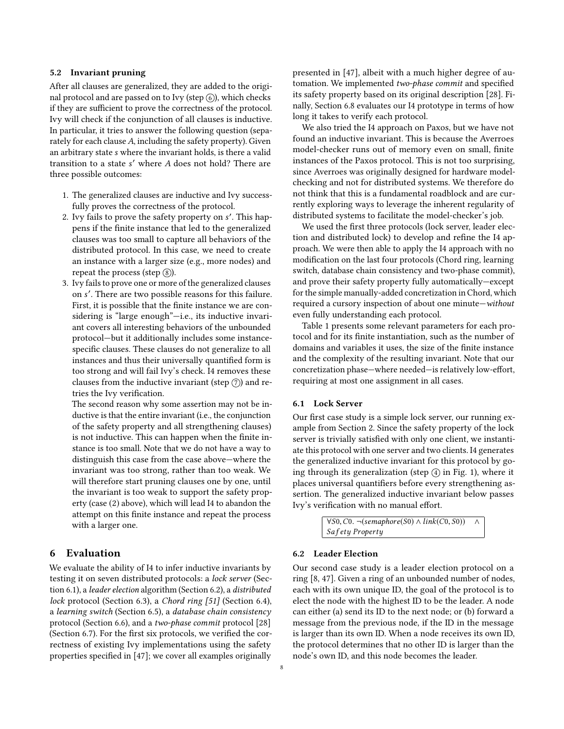## <span id="page-7-1"></span>5.2 Invariant pruning

After all clauses are generalized, they are added to the original protocol and are passed on to Ivy (step  $\widehat{6}$ ), which checks if they are sufficient to prove the correctness of the protocol. Ivy will check if the conjunction of all clauses is inductive. In particular, it tries to answer the following question (separately for each clause A, including the safety property). Given an arbitrary state s where the invariant holds, is there a valid transition to a state s' where A does not hold? There are three possible outcomes: three possible outcomes:

- 1. The generalized clauses are inductive and Ivy successfully proves the correctness of the protocol.
- 2. Ivy fails to prove the safety property on s'. This hap-<br>neps if the finite instance that led to the generalized pens if the finite instance that led to the generalized clauses was too small to capture all behaviors of the distributed protocol. In this case, we need to create an instance with a larger size (e.g., more nodes) and repeat the process (step  $(\text{8})$ ).
- 3. Ivy fails to prove one or more of the generalized clauses on s ′ . There are two possible reasons for this failure. First, it is possible that the finite instance we are considering is "large enough"—i.e., its inductive invariant covers all interesting behaviors of the unbounded protocol—but it additionally includes some instancespecific clauses. These clauses do not generalize to all instances and thus their universally quantified form is too strong and will fail Ivy's check. I4 removes these clauses from the inductive invariant (step  $(\bar{7})$ ) and retries the Ivy verification.

The second reason why some assertion may not be inductive is that the entire invariant (i.e., the conjunction of the safety property and all strengthening clauses) is not inductive. This can happen when the finite instance is too small. Note that we do not have a way to distinguish this case from the case above—where the invariant was too strong, rather than too weak. We will therefore start pruning clauses one by one, until the invariant is too weak to support the safety property (case (2) above), which will lead I4 to abandon the attempt on this finite instance and repeat the process with a larger one.

# <span id="page-7-0"></span>6 Evaluation

We evaluate the ability of I4 to infer inductive invariants by testing it on seven distributed protocols: a lock server (Section [6.1\)](#page-7-2), a leader election algorithm (Section [6.2\)](#page-7-3), a distributed lock protocol (Section [6.3\)](#page-9-0), a Chord ring [\[51\]](#page-13-21) (Section [6.4\)](#page-9-1), a learning switch (Section [6.5\)](#page-9-2), a database chain consistency protocol (Section [6.6\)](#page-10-1), and a two-phase commit protocol [\[28\]](#page-13-22) (Section [6.7\)](#page-10-2). For the first six protocols, we verified the correctness of existing Ivy implementations using the safety properties specified in [\[47\]](#page-13-12); we cover all examples originally

presented in [\[47\]](#page-13-12), albeit with a much higher degree of automation. We implemented two-phase commit and specified its safety property based on its original description [\[28\]](#page-13-22). Finally, Section [6.8](#page-10-3) evaluates our I4 prototype in terms of how long it takes to verify each protocol.

We also tried the I4 approach on Paxos, but we have not found an inductive invariant. This is because the Averroes model-checker runs out of memory even on small, finite instances of the Paxos protocol. This is not too surprising, since Averroes was originally designed for hardware modelchecking and not for distributed systems. We therefore do not think that this is a fundamental roadblock and are currently exploring ways to leverage the inherent regularity of distributed systems to facilitate the model-checker's job.

We used the first three protocols (lock server, leader election and distributed lock) to develop and refine the I4 approach. We were then able to apply the I4 approach with no modification on the last four protocols (Chord ring, learning switch, database chain consistency and two-phase commit), and prove their safety property fully automatically—except for the simple manually-added concretization in Chord, which required a cursory inspection of about one minute—without even fully understanding each protocol.

Table [1](#page-8-0) presents some relevant parameters for each protocol and for its finite instantiation, such as the number of domains and variables it uses, the size of the finite instance and the complexity of the resulting invariant. Note that our concretization phase—where needed—is relatively low-effort, requiring at most one assignment in all cases.

## <span id="page-7-2"></span>6.1 Lock Server

Our first case study is a simple lock server, our running example from Section [2.](#page-1-0) Since the safety property of the lock server is trivially satisfied with only one client, we instantiate this protocol with one server and two clients. I4 generates the generalized inductive invariant for this protocol by going through its generalization (step  $(4)$  in Fig. [1\)](#page-3-1), where it places universal quantifiers before every strengthening assertion. The generalized inductive invariant below passes Ivy's verification with no manual effort.

> $\forall$ S0, C0. ¬(semaphore(S0) ∧ link(C0, S0)) ∧ Safety Property

## <span id="page-7-3"></span>6.2 Leader Election

Our second case study is a leader election protocol on a ring [\[8,](#page-12-13) [47\]](#page-13-12). Given a ring of an unbounded number of nodes, each with its own unique ID, the goal of the protocol is to elect the node with the highest ID to be the leader. A node can either (a) send its ID to the next node; or (b) forward a message from the previous node, if the ID in the message is larger than its own ID. When a node receives its own ID, the protocol determines that no other ID is larger than the node's own ID, and this node becomes the leader.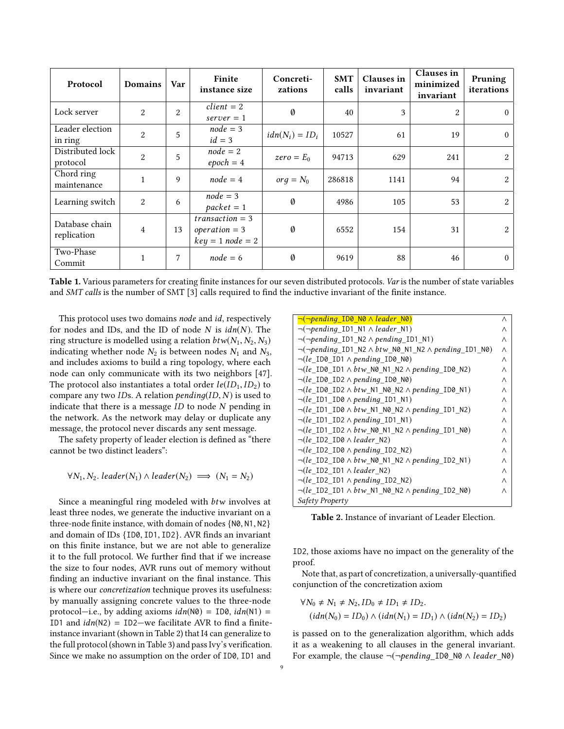<span id="page-8-0"></span>

| Protocol                      | <b>Domains</b> | Var | Finite<br>instance size                                    | Concreti-<br>zations | <b>SMT</b><br>calls | <b>Clauses</b> in<br>invariant | Clauses in<br>minimized<br>invariant | Pruning<br>iterations |
|-------------------------------|----------------|-----|------------------------------------------------------------|----------------------|---------------------|--------------------------------|--------------------------------------|-----------------------|
| Lock server                   | $\overline{2}$ | 2   | $client = 2$<br>$server = 1$                               | Ø                    | 40                  | 3                              | 2                                    | $\theta$              |
| Leader election<br>in ring    | $\overline{2}$ | 5   | $node = 3$<br>$id = 3$                                     | $idn(N_i) = ID_i$    | 10527               | 61                             | 19                                   | $\theta$              |
| Distributed lock<br>protocol  | $\overline{2}$ | 5   | $node = 2$<br>$epoch = 4$                                  | $zero = E_0$         | 94713               | 629                            | 241                                  | 2                     |
| Chord ring<br>maintenance     |                | 9   | $node = 4$                                                 | $\textit{orq} = N_0$ | 286818              | 1141                           | 94                                   | 2                     |
| Learning switch               | $\overline{2}$ | 6   | $node = 3$<br>$packet = 1$                                 | Ø                    | 4986                | 105                            | 53                                   | 2                     |
| Database chain<br>replication | $\overline{4}$ | 13  | $transaction = 3$<br>$operation = 3$<br>$key = 1 node = 2$ | $\emptyset$          | 6552                | 154                            | 31                                   | 2                     |
| Two-Phase<br>Commit           | $\mathbf{1}$   | 7   | $node = 6$                                                 | Ø                    | 9619                | 88                             | 46                                   | $\theta$              |

Table 1. Various parameters for creating finite instances for our seven distributed protocols. Var is the number of state variables and SMT calls is the number of SMT [\[3\]](#page-12-11) calls required to find the inductive invariant of the finite instance.

This protocol uses two domains node and id, respectively for nodes and IDs, and the ID of node  $N$  is  $idn(N)$ . The ring structure is modelled using a relation  $btw(N_1, N_2, N_3)$ indicating whether node  $N_2$  is between nodes  $N_1$  and  $N_3$ , and includes axioms to build a ring topology, where each node can only communicate with its two neighbors [\[47\]](#page-13-12). The protocol also instantiates a total order  $le(ID_1, ID_2)$  to compare any two IDs. A relation  $pending(ID, N)$  is used to indicate that there is a message  $ID$  to node  $N$  pending in the network. As the network may delay or duplicate any message, the protocol never discards any sent message.

The safety property of leader election is defined as "there cannot be two distinct leaders":

$$
\forall N_1, N_2.\ leader(N_1) \land leader(N_2) \implies (N_1 = N_2)
$$

Since a meaningful ring modeled with btw involves at least three nodes, we generate the inductive invariant on a three-node finite instance, with domain of nodes {N0, N1, N2} and domain of IDs {ID0, ID1, ID2}. AVR finds an invariant on this finite instance, but we are not able to generalize it to the full protocol. We further find that if we increase the size to four nodes, AVR runs out of memory without finding an inductive invariant on the final instance. This is where our concretization technique proves its usefulness: by manually assigning concrete values to the three-node protocol—i.e., by adding axioms  $idn(N\theta) = ID\theta$ ,  $idn(N1) =$ ID1 and  $idn(N2) = ID2$ —we facilitate AVR to find a finiteinstance invariant (shown in Table [2\)](#page-8-1) that I4 can generalize to the full protocol (shown in Table [3\)](#page-10-4) and pass Ivy's verification. Since we make no assumption on the order of ID0, ID1 and

<span id="page-8-1"></span>

| $\neg(\neg pending\_ID0 \land leader_N0)$                                           | Λ |
|-------------------------------------------------------------------------------------|---|
| $\neg(\neg pending\_ID1_N1 \land leader_N1)$                                        | Λ |
| $\neg(\neg pending\_ID1_N2 \land pending\_ID1_N1)$                                  | Λ |
| $\neg(\neg pending\_ID1_N2 \land \text{btw_N0_N1_N2} \land \text{pending\_ID1_N0})$ | Λ |
| $\neg (le\_ID0\_ID1 \land pending\_ID0_N0)$                                         | Λ |
| $\neg (le\_ID0\_ID1 \land btw_N0_N1_N2 \land pending\_ID0_N2)$                      | Λ |
| $\neg (le\_ID0\_ID2 \land pending\_ID0_N0)$                                         | Λ |
| $\neg (le\_IDO\_ ID2 \land btw_N1_N0_N2 \land pending\_IDO_N1)$                     | Λ |
| $\neg (le\_ID1\_ID0 \land pending\_ID1_N1)$                                         | Λ |
| $\neg (le\_ID1\_ID0 \wedge btw_N1_N0_N2 \wedge pending\_ID1_N2)$                    | Λ |
| $\neg (le\_ID1\_ID2 \land pending\_ID1\_N1)$                                        | Λ |
| $\neg (le\_ID1\_ID2 \wedge btw_N0_N1_N2 \wedge pending\_ID1_N0)$                    | Λ |
| $\neg (le\_ID2\_ID0 \land leader\_N2)$                                              | Λ |
| $\neg (le\_ID2\_ID0 \land pending\_ID2\_N2)$                                        | Λ |
| $\neg (le\_ID2\_ID0 \wedge bv_N0_N1_N2 \wedge pending_D2_N1)$                       | Λ |
| $\neg (le\_ID2\_ID1 \land leader\_N2)$                                              | Λ |
| $\neg (le\_ID2\_ID1 \land pending\_ID2\_N2)$                                        | Λ |
| $\neg (le\_ID2\_ID1 \land btw_N1_N0_N2 \land pending\_ID2_N0)$                      | Λ |
| Safety Property                                                                     |   |

Table 2. Instance of invariant of Leader Election.

ID2, those axioms have no impact on the generality of the proof.

Note that, as part of concretization, a universally-quantified conjunction of the concretization axiom

$$
\forall N_0 \neq N_1 \neq N_2, ID_0 \neq ID_1 \neq ID_2.
$$
  
(*idn*( $N_0$ ) =  $ID_0$ )  $\land$  (*idn*( $N_1$ ) =  $ID_1$ )  $\land$  (*idn*( $N_2$ ) =  $ID_2$ )

is passed on to the generalization algorithm, which adds it as a weakening to all clauses in the general invariant. For example, the clause  $\neg(\neg pending\ ID0\ NO \land leader\ NO)$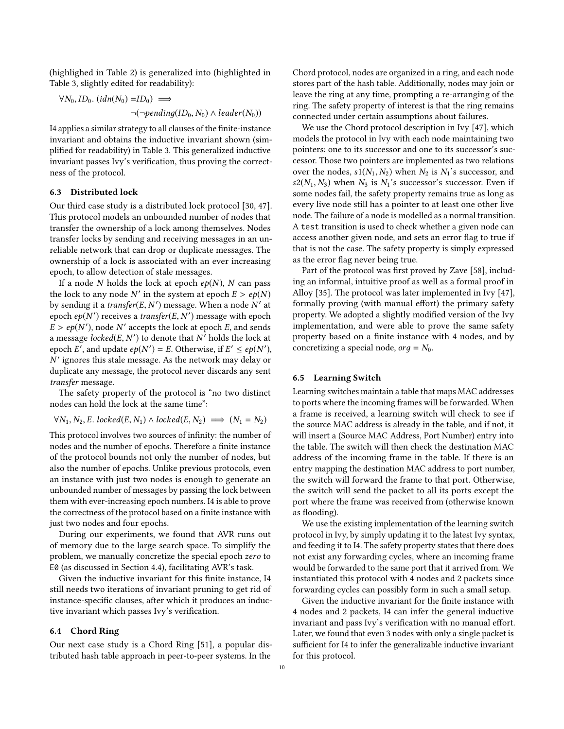(highlighed in Table [2\)](#page-8-1) is generalized into (highlighted in Table [3,](#page-10-4) slightly edited for readability):

$$
\forall N_0, ID_0. (idn(N_0) = ID_0) \implies \neg(\neg pending(ID_0, N_0) \land leader(N_0))
$$

I4 applies a similar strategy to all clauses of the finite-instance invariant and obtains the inductive invariant shown (simplified for readability) in Table [3.](#page-10-4) This generalized inductive invariant passes Ivy's verification, thus proving the correctness of the protocol.

## <span id="page-9-0"></span>6.3 Distributed lock

Our third case study is a distributed lock protocol [\[30,](#page-13-5) [47\]](#page-13-12). This protocol models an unbounded number of nodes that transfer the ownership of a lock among themselves. Nodes transfer locks by sending and receiving messages in an unreliable network that can drop or duplicate messages. The ownership of a lock is associated with an ever increasing epoch, to allow detection of stale messages.

If a node N holds the lock at epoch  $ep(N)$ , N can pass the lock to any node N' in the system at epoch  $E > ep(N)$ <br>by sending it a *transfer(E\_N')* message. When a node N' at by sending it a *transfer*(*E*, *N'*) message. When a node *N'* at enoch en(*N'*) receives a *transfer*(*E*, *N'*) message with enoch epoch  $ep(N')$  receives a *transfer*(*E*, *N'*) message with epoch  $F > ep(N')$  node  $N'$  accepts the lock at epoch  $F$  and sends  $\overline{E} > ep(N')$ , node N' accepts the lock at epoch E, and sends a message *locked*(*E*, *N'*) to denote that  $N^7$  holds the lock at enoch  $E'$  and undate  $e_n(N') - E$  Otherwise if  $E' < e_n(N')$ epoch  $E'$ , and update  $ep(N') = E$ . Otherwise, if  $E' \le ep(N')$ ,<br>N' ignores this stale message. As the network may delay or N duplicate any message, the protocol never discards any sent ′ ignores this stale message. As the network may delay or transfer message.

The safety property of the protocol is "no two distinct nodes can hold the lock at the same time":

 $\forall N_1, N_2, E. locked(E, N_1) \land locked(E, N_2) \implies (N_1 = N_2)$ 

This protocol involves two sources of infinity: the number of nodes and the number of epochs. Therefore a finite instance of the protocol bounds not only the number of nodes, but also the number of epochs. Unlike previous protocols, even an instance with just two nodes is enough to generate an unbounded number of messages by passing the lock between them with ever-increasing epoch numbers. I4 is able to prove the correctness of the protocol based on a finite instance with just two nodes and four epochs.

During our experiments, we found that AVR runs out of memory due to the large search space. To simplify the problem, we manually concretize the special epoch zero to E0 (as discussed in Section [4.4\)](#page-4-0), facilitating AVR's task.

Given the inductive invariant for this finite instance, I4 still needs two iterations of invariant pruning to get rid of instance-specific clauses, after which it produces an inductive invariant which passes Ivy's verification.

#### <span id="page-9-1"></span>6.4 Chord Ring

Our next case study is a Chord Ring [\[51\]](#page-13-21), a popular distributed hash table approach in peer-to-peer systems. In the

Chord protocol, nodes are organized in a ring, and each node stores part of the hash table. Additionally, nodes may join or leave the ring at any time, prompting a re-arranging of the ring. The safety property of interest is that the ring remains connected under certain assumptions about failures.

We use the Chord protocol description in Ivy [\[47\]](#page-13-12), which models the protocol in Ivy with each node maintaining two pointers: one to its successor and one to its successor's successor. Those two pointers are implemented as two relations over the nodes,  $s1(N_1, N_2)$  when  $N_2$  is  $N_1$ 's successor, and  $s2(N_1, N_3)$  when  $N_3$  is  $N_1$ 's successor's successor. Even if some nodes fail, the safety property remains true as long as every live node still has a pointer to at least one other live node. The failure of a node is modelled as a normal transition. A test transition is used to check whether a given node can access another given node, and sets an error flag to true if that is not the case. The safety property is simply expressed as the error flag never being true.

Part of the protocol was first proved by Zave [\[58\]](#page-14-2), including an informal, intuitive proof as well as a formal proof in Alloy [\[35\]](#page-13-23). The protocol was later implemented in Ivy [\[47\]](#page-13-12), formally proving (with manual effort) the primary safety property. We adopted a slightly modified version of the Ivy implementation, and were able to prove the same safety property based on a finite instance with 4 nodes, and by concretizing a special node,  $org = N_0$ .

## <span id="page-9-2"></span>6.5 Learning Switch

Learning switches maintain a table that maps MAC addresses to ports where the incoming frames will be forwarded. When a frame is received, a learning switch will check to see if the source MAC address is already in the table, and if not, it will insert a (Source MAC Address, Port Number) entry into the table. The switch will then check the destination MAC address of the incoming frame in the table. If there is an entry mapping the destination MAC address to port number, the switch will forward the frame to that port. Otherwise, the switch will send the packet to all its ports except the port where the frame was received from (otherwise known as flooding).

We use the existing implementation of the learning switch protocol in Ivy, by simply updating it to the latest Ivy syntax, and feeding it to I4. The safety property states that there does not exist any forwarding cycles, where an incoming frame would be forwarded to the same port that it arrived from. We instantiated this protocol with 4 nodes and 2 packets since forwarding cycles can possibly form in such a small setup.

Given the inductive invariant for the finite instance with 4 nodes and 2 packets, I4 can infer the general inductive invariant and pass Ivy's verification with no manual effort. Later, we found that even 3 nodes with only a single packet is sufficient for I4 to infer the generalizable inductive invariant for this protocol.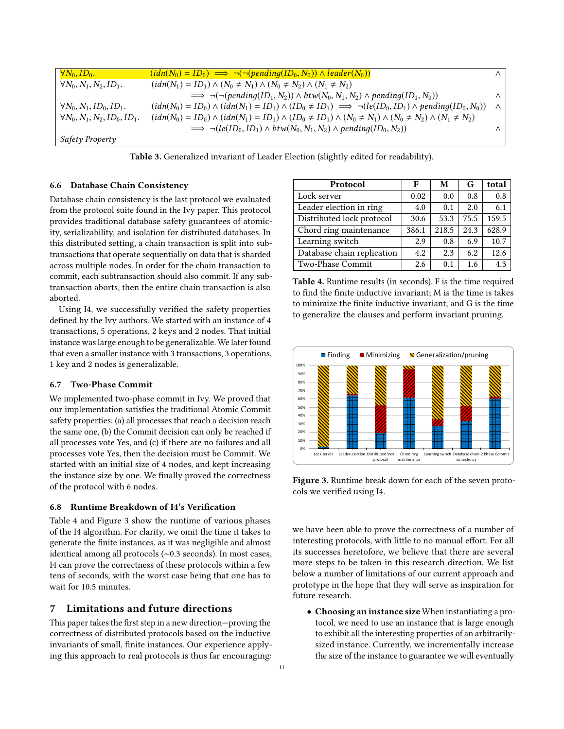<span id="page-10-4"></span>

| $\forall N_0, ID_0.$                 | $(idn(N_0) = ID_0) \implies \neg(\neg (pending(ID_0, N_0)) \land leader(N_0))$                                                         | $\wedge$ |
|--------------------------------------|----------------------------------------------------------------------------------------------------------------------------------------|----------|
| $\forall N_0, N_1, N_2, ID_1.$       | $(idn(N_1) = ID_1) \wedge (N_0 \neq N_1) \wedge (N_0 \neq N_2) \wedge (N_1 \neq N_2)$                                                  |          |
|                                      | $\implies \neg(\neg (pending(ID_1, N_2)) \wedge \text{btw}(N_0, N_1, N_2) \wedge \text{pending}(ID_1, N_0))$                           | $\wedge$ |
| $\forall N_0, N_1, ID_0, ID_1.$      | $(idn(N_0) = ID_0) \wedge (idn(N_1) = ID_1) \wedge (ID_0 \neq ID_1) \implies \neg (le(ID_0, ID_1) \wedge pending(ID_0, N_0))$          | $\wedge$ |
| $\forall N_0, N_1, N_2, ID_0, ID_1.$ | $(idn(N_0) = ID_0) \wedge (idn(N_1) = ID_1) \wedge (ID_0 \neq ID_1) \wedge (N_0 \neq N_1) \wedge (N_0 \neq N_2) \wedge (N_1 \neq N_2)$ |          |
|                                      | $\implies \neg (le(ID_0, ID_1) \wedge \text{btw}(N_0, N_1, N_2) \wedge \text{pending}(ID_0, N_2))$                                     | Λ        |
| Safety Property                      |                                                                                                                                        |          |

Table 3. Generalized invariant of Leader Election (slightly edited for readability).

## <span id="page-10-1"></span>6.6 Database Chain Consistency

Database chain consistency is the last protocol we evaluated from the protocol suite found in the Ivy paper. This protocol provides traditional database safety guarantees of atomicity, serializability, and isolation for distributed databases. In this distributed setting, a chain transaction is split into subtransactions that operate sequentially on data that is sharded across multiple nodes. In order for the chain transaction to commit, each subtransaction should also commit. If any subtransaction aborts, then the entire chain transaction is also aborted.

Using I4, we successfully verified the safety properties defined by the Ivy authors. We started with an instance of 4 transactions, 5 operations, 2 keys and 2 nodes. That initial instance was large enough to be generalizable. We later found that even a smaller instance with 3 transactions, 3 operations, 1 key and 2 nodes is generalizable.

## <span id="page-10-2"></span>6.7 Two-Phase Commit

We implemented two-phase commit in Ivy. We proved that our implementation satisfies the traditional Atomic Commit safety properties: (a) all processes that reach a decision reach the same one, (b) the Commit decision can only be reached if all processes vote Yes, and (c) if there are no failures and all processes vote Yes, then the decision must be Commit. We started with an initial size of 4 nodes, and kept increasing the instance size by one. We finally proved the correctness of the protocol with 6 nodes.

## <span id="page-10-3"></span>6.8 Runtime Breakdown of I4's Verification

Table [4](#page-10-5) and Figure [3](#page-10-6) show the runtime of various phases of the I4 algorithm. For clarity, we omit the time it takes to generate the finite instances, as it was negligible and almost identical among all protocols (∼0.3 seconds). In most cases, I4 can prove the correctness of these protocols within a few tens of seconds, with the worst case being that one has to wait for 10.5 minutes.

# <span id="page-10-0"></span>7 Limitations and future directions

This paper takes the first step in a new direction—proving the correctness of distributed protocols based on the inductive invariants of small, finite instances. Our experience applying this approach to real protocols is thus far encouraging:

<span id="page-10-5"></span>

| Protocol                   | F     | М     | G    | total |
|----------------------------|-------|-------|------|-------|
| Lock server                | 0.02  | 0.0   | 0.8  | 0.8   |
| Leader election in ring    | 4.0   | 0.1   | 2.0  | 6.1   |
| Distributed lock protocol  | 30.6  | 53.3  | 75.5 | 159.5 |
| Chord ring maintenance     | 386.1 | 218.5 | 24.3 | 628.9 |
| Learning switch            | 2.9   | 0.8   | 6.9  | 10.7  |
| Database chain replication | 4.2   | 2.3   | 6.2  | 12.6  |
| Two-Phase Commit           | 2.6   | 0.1   | 1.6  | 4.3   |

Table 4. Runtime results (in seconds). F is the time required to find the finite inductive invariant; M is the time is takes to minimize the finite inductive invariant; and G is the time to generalize the clauses and perform invariant pruning.

<span id="page-10-6"></span>

Figure 3. Runtime break down for each of the seven protocols we verified using I4.

we have been able to prove the correctness of a number of interesting protocols, with little to no manual effort. For all its successes heretofore, we believe that there are several more steps to be taken in this research direction. We list below a number of limitations of our current approach and prototype in the hope that they will serve as inspiration for future research.

• Choosing an instance size When instantiating a protocol, we need to use an instance that is large enough to exhibit all the interesting properties of an arbitrarilysized instance. Currently, we incrementally increase the size of the instance to guarantee we will eventually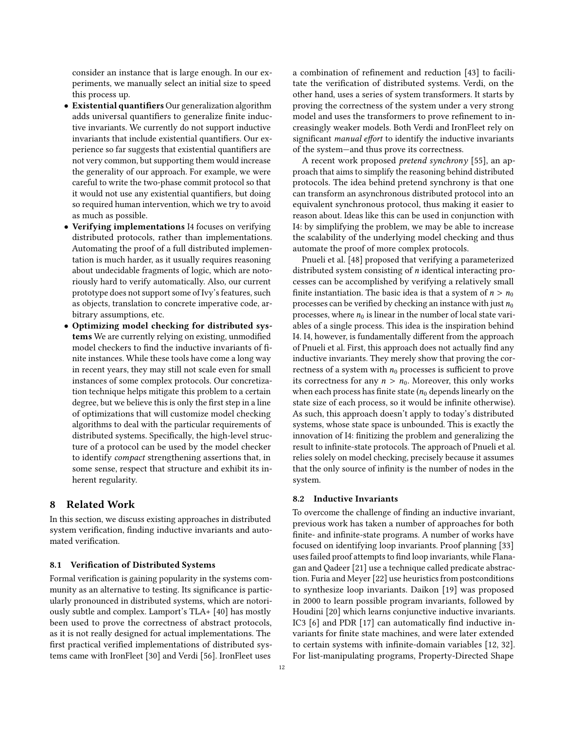consider an instance that is large enough. In our experiments, we manually select an initial size to speed this process up.

- Existential quantifiers Our generalization algorithm adds universal quantifiers to generalize finite inductive invariants. We currently do not support inductive invariants that include existential quantifiers. Our experience so far suggests that existential quantifiers are not very common, but supporting them would increase the generality of our approach. For example, we were careful to write the two-phase commit protocol so that it would not use any existential quantifiers, but doing so required human intervention, which we try to avoid as much as possible.
- Verifying implementations I4 focuses on verifying distributed protocols, rather than implementations. Automating the proof of a full distributed implementation is much harder, as it usually requires reasoning about undecidable fragments of logic, which are notoriously hard to verify automatically. Also, our current prototype does not support some of Ivy's features, such as objects, translation to concrete imperative code, arbitrary assumptions, etc.
- Optimizing model checking for distributed systems We are currently relying on existing, unmodified model checkers to find the inductive invariants of finite instances. While these tools have come a long way in recent years, they may still not scale even for small instances of some complex protocols. Our concretization technique helps mitigate this problem to a certain degree, but we believe this is only the first step in a line of optimizations that will customize model checking algorithms to deal with the particular requirements of distributed systems. Specifically, the high-level structure of a protocol can be used by the model checker to identify compact strengthening assertions that, in some sense, respect that structure and exhibit its inherent regularity.

## <span id="page-11-0"></span>8 Related Work

In this section, we discuss existing approaches in distributed system verification, finding inductive invariants and automated verification.

#### 8.1 Verification of Distributed Systems

Formal verification is gaining popularity in the systems community as an alternative to testing. Its significance is particularly pronounced in distributed systems, which are notoriously subtle and complex. Lamport's TLA+ [\[40\]](#page-13-24) has mostly been used to prove the correctness of abstract protocols, as it is not really designed for actual implementations. The first practical verified implementations of distributed systems came with IronFleet [\[30\]](#page-13-5) and Verdi [\[56\]](#page-14-1). IronFleet uses

a combination of refinement and reduction [\[43\]](#page-13-25) to facilitate the verification of distributed systems. Verdi, on the other hand, uses a series of system transformers. It starts by proving the correctness of the system under a very strong model and uses the transformers to prove refinement to increasingly weaker models. Both Verdi and IronFleet rely on significant manual effort to identify the inductive invariants of the system—and thus prove its correctness.

A recent work proposed pretend synchrony [\[55\]](#page-14-3), an approach that aims to simplify the reasoning behind distributed protocols. The idea behind pretend synchrony is that one can transform an asynchronous distributed protocol into an equivalent synchronous protocol, thus making it easier to reason about. Ideas like this can be used in conjunction with I4: by simplifying the problem, we may be able to increase the scalability of the underlying model checking and thus automate the proof of more complex protocols.

Pnueli et al. [\[48\]](#page-13-26) proposed that verifying a parameterized distributed system consisting of n identical interacting processes can be accomplished by verifying a relatively small finite instantiation. The basic idea is that a system of  $n > n_0$ processes can be verified by checking an instance with just  $n_0$ processes, where  $n_0$  is linear in the number of local state variables of a single process. This idea is the inspiration behind I4. I4, however, is fundamentally different from the approach of Pnueli et al. First, this approach does not actually find any inductive invariants. They merely show that proving the correctness of a system with  $n_0$  processes is sufficient to prove its correctness for any  $n > n_0$ . Moreover, this only works when each process has finite state ( $n_0$  depends linearly on the state size of each process, so it would be infinite otherwise). As such, this approach doesn't apply to today's distributed systems, whose state space is unbounded. This is exactly the innovation of I4: finitizing the problem and generalizing the result to infinite-state protocols. The approach of Pnueli et al. relies solely on model checking, precisely because it assumes that the only source of infinity is the number of nodes in the system.

#### 8.2 Inductive Invariants

To overcome the challenge of finding an inductive invariant, previous work has taken a number of approaches for both finite- and infinite-state programs. A number of works have focused on identifying loop invariants. Proof planning [\[33\]](#page-13-27) uses failed proof attempts to find loop invariants, while Flanagan and Qadeer [\[21\]](#page-13-28) use a technique called predicate abstraction. Furia and Meyer [\[22\]](#page-13-29) use heuristics from postconditions to synthesize loop invariants. Daikon [\[19\]](#page-13-30) was proposed in 2000 to learn possible program invariants, followed by Houdini [\[20\]](#page-13-31) which learns conjunctive inductive invariants. IC3 [\[6\]](#page-12-8) and PDR [\[17\]](#page-13-18) can automatically find inductive invariants for finite state machines, and were later extended to certain systems with infinite-domain variables [\[12,](#page-12-14) [32\]](#page-13-32). For list-manipulating programs, Property-Directed Shape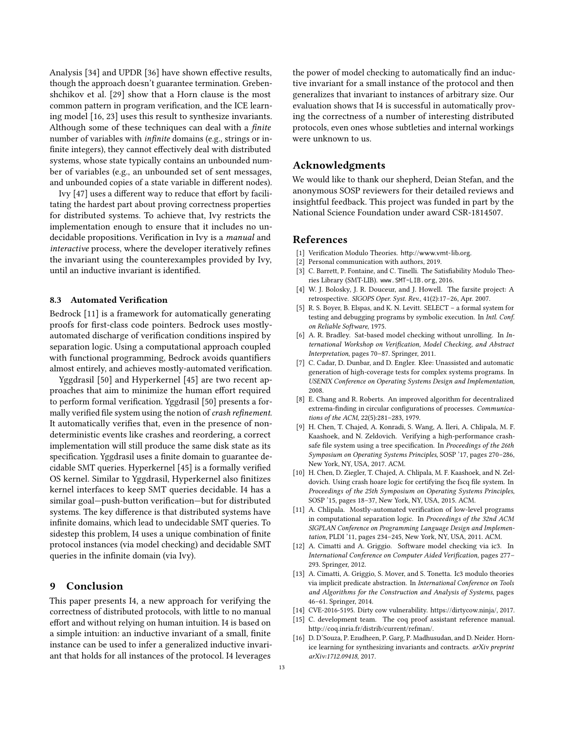Analysis [\[34\]](#page-13-33) and UPDR [\[36\]](#page-13-34) have shown effective results, though the approach doesn't guarantee termination. Grebenshchikov et al. [\[29\]](#page-13-35) show that a Horn clause is the most common pattern in program verification, and the ICE learning model [\[16,](#page-12-15) [23\]](#page-13-36) uses this result to synthesize invariants. Although some of these techniques can deal with a finite number of variables with infinite domains (e.g., strings or infinite integers), they cannot effectively deal with distributed systems, whose state typically contains an unbounded number of variables (e.g., an unbounded set of sent messages, and unbounded copies of a state variable in different nodes).

Ivy [\[47\]](#page-13-12) uses a different way to reduce that effort by facilitating the hardest part about proving correctness properties for distributed systems. To achieve that, Ivy restricts the implementation enough to ensure that it includes no undecidable propositions. Verification in Ivy is a manual and interactive process, where the developer iteratively refines the invariant using the counterexamples provided by Ivy, until an inductive invariant is identified.

## 8.3 Automated Verification

Bedrock [\[11\]](#page-12-16) is a framework for automatically generating proofs for first-class code pointers. Bedrock uses mostlyautomated discharge of verification conditions inspired by separation logic. Using a computational approach coupled with functional programming, Bedrock avoids quantifiers almost entirely, and achieves mostly-automated verification.

Yggdrasil [\[50\]](#page-13-37) and Hyperkernel [\[45\]](#page-13-9) are two recent approaches that aim to minimize the human effort required to perform formal verification. Yggdrasil [\[50\]](#page-13-37) presents a formally verified file system using the notion of *crash refinement*. It automatically verifies that, even in the presence of nondeterministic events like crashes and reordering, a correct implementation will still produce the same disk state as its specification. Yggdrasil uses a finite domain to guarantee decidable SMT queries. Hyperkernel [\[45\]](#page-13-9) is a formally verified OS kernel. Similar to Yggdrasil, Hyperkernel also finitizes kernel interfaces to keep SMT queries decidable. I4 has a similar goal—push-button verification—but for distributed systems. The key difference is that distributed systems have infinite domains, which lead to undecidable SMT queries. To sidestep this problem, I4 uses a unique combination of finite protocol instances (via model checking) and decidable SMT queries in the infinite domain (via Ivy).

# <span id="page-12-9"></span>9 Conclusion

This paper presents I4, a new approach for verifying the correctness of distributed protocols, with little to no manual effort and without relying on human intuition. I4 is based on a simple intuition: an inductive invariant of a small, finite instance can be used to infer a generalized inductive invariant that holds for all instances of the protocol. I4 leverages

the power of model checking to automatically find an inductive invariant for a small instance of the protocol and then generalizes that invariant to instances of arbitrary size. Our evaluation shows that I4 is successful in automatically proving the correctness of a number of interesting distributed protocols, even ones whose subtleties and internal workings were unknown to us.

## Acknowledgments

We would like to thank our shepherd, Deian Stefan, and the anonymous SOSP reviewers for their detailed reviews and insightful feedback. This project was funded in part by the National Science Foundation under award CSR-1814507.

## References

- <span id="page-12-10"></span>[1] Verification Modulo Theories. <http://www.vmt-lib.org>.
- <span id="page-12-6"></span>[2] Personal communication with authors, 2019.
- <span id="page-12-11"></span>[3] C. Barrett, P. Fontaine, and C. Tinelli. The Satisfiability Modulo Theories Library (SMT-LIB). www.SMT-LIB.org, 2016.
- <span id="page-12-7"></span>[4] W. J. Bolosky, J. R. Douceur, and J. Howell. The farsite project: A retrospective. SIGOPS Oper. Syst. Rev., 41(2):17–26, Apr. 2007.
- <span id="page-12-0"></span>[5] R. S. Boyer, B. Elspas, and K. N. Levitt. SELECT – a formal system for testing and debugging programs by symbolic execution. In Intl. Conf. on Reliable Software, 1975.
- <span id="page-12-8"></span>[6] A. R. Bradley. Sat-based model checking without unrolling. In International Workshop on Verification, Model Checking, and Abstract Interpretation, pages 70–87. Springer, 2011.
- <span id="page-12-1"></span>[7] C. Cadar, D. Dunbar, and D. Engler. Klee: Unassisted and automatic generation of high-coverage tests for complex systems programs. In USENIX Conference on Operating Systems Design and Implementation, 2008.
- <span id="page-12-13"></span>[8] E. Chang and R. Roberts. An improved algorithm for decentralized extrema-finding in circular configurations of processes. Communications of the ACM, 22(5):281–283, 1979.
- <span id="page-12-3"></span>[9] H. Chen, T. Chajed, A. Konradi, S. Wang, A. İleri, A. Chlipala, M. F. Kaashoek, and N. Zeldovich. Verifying a high-performance crashsafe file system using a tree specification. In Proceedings of the 26th Symposium on Operating Systems Principles, SOSP '17, pages 270–286, New York, NY, USA, 2017. ACM.
- <span id="page-12-4"></span>[10] H. Chen, D. Ziegler, T. Chajed, A. Chlipala, M. F. Kaashoek, and N. Zeldovich. Using crash hoare logic for certifying the fscq file system. In Proceedings of the 25th Symposium on Operating Systems Principles, SOSP '15, pages 18–37, New York, NY, USA, 2015. ACM.
- <span id="page-12-16"></span>[11] A. Chlipala. Mostly-automated verification of low-level programs in computational separation logic. In Proceedings of the 32nd ACM SIGPLAN Conference on Programming Language Design and Implementation, PLDI '11, pages 234–245, New York, NY, USA, 2011. ACM.
- <span id="page-12-14"></span>[12] A. Cimatti and A. Griggio. Software model checking via ic3. In International Conference on Computer Aided Verification, pages 277– 293. Springer, 2012.
- <span id="page-12-12"></span>[13] A. Cimatti, A. Griggio, S. Mover, and S. Tonetta. Ic3 modulo theories via implicit predicate abstraction. In International Conference on Tools and Algorithms for the Construction and Analysis of Systems, pages 46–61. Springer, 2014.
- <span id="page-12-2"></span>[14] CVE-2016-5195. Dirty cow vulnerability. [https://dirtycow.ninja/,](https://dirtycow.ninja/ ) 2017.
- <span id="page-12-5"></span>[15] C. development team. The coq proof assistant reference manual. http://coq.inria.fr/distrib/current/refman/.
- <span id="page-12-15"></span>[16] D. D'Souza, P. Ezudheen, P. Garg, P. Madhusudan, and D. Neider. Hornice learning for synthesizing invariants and contracts. arXiv preprint arXiv:1712.09418, 2017.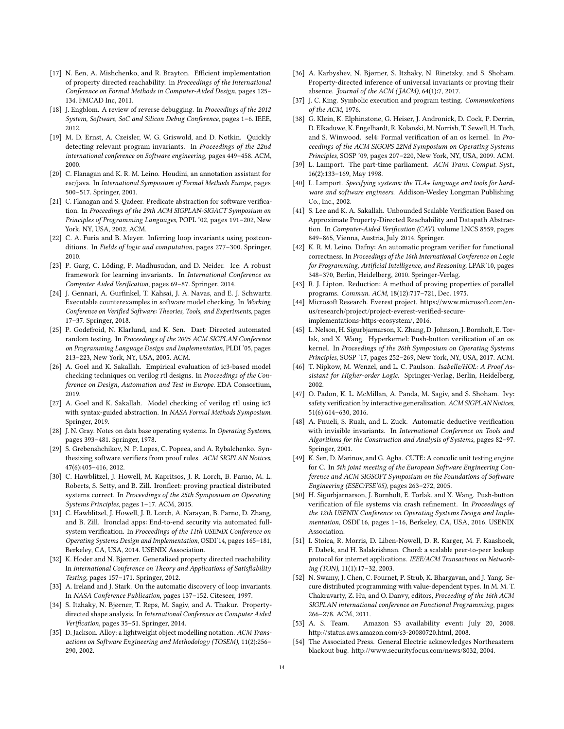- <span id="page-13-18"></span>[17] N. Een, A. Mishchenko, and R. Brayton. Efficient implementation of property directed reachability. In Proceedings of the International Conference on Formal Methods in Computer-Aided Design, pages 125– 134. FMCAD Inc, 2011.
- <span id="page-13-16"></span>[18] J. Engblom. A review of reverse debugging. In Proceedings of the 2012 System, Software, SoC and Silicon Debug Conference, pages 1–6. IEEE, 2012.
- <span id="page-13-30"></span>[19] M. D. Ernst, A. Czeisler, W. G. Griswold, and D. Notkin. Quickly detecting relevant program invariants. In Proceedings of the 22nd international conference on Software engineering, pages 449–458. ACM, 2000.
- <span id="page-13-31"></span>[20] C. Flanagan and K. R. M. Leino. Houdini, an annotation assistant for esc/java. In International Symposium of Formal Methods Europe, pages 500–517. Springer, 2001.
- <span id="page-13-28"></span>[21] C. Flanagan and S. Qadeer. Predicate abstraction for software verification. In Proceedings of the 29th ACM SIGPLAN-SIGACT Symposium on Principles of Programming Languages, POPL '02, pages 191–202, New York, NY, USA, 2002. ACM.
- <span id="page-13-29"></span>[22] C. A. Furia and B. Meyer. Inferring loop invariants using postconditions. In Fields of logic and computation, pages 277–300. Springer, 2010.
- <span id="page-13-36"></span>[23] P. Garg, C. Löding, P. Madhusudan, and D. Neider. Ice: A robust framework for learning invariants. In International Conference on Computer Aided Verification, pages 69–87. Springer, 2014.
- <span id="page-13-17"></span>[24] J. Gennari, A. Gurfinkel, T. Kahsai, J. A. Navas, and E. J. Schwartz. Executable counterexamples in software model checking. In Working Conference on Verified Software: Theories, Tools, and Experiments, pages 17–37. Springer, 2018.
- <span id="page-13-0"></span>[25] P. Godefroid, N. Klarlund, and K. Sen. Dart: Directed automated random testing. In Proceedings of the 2005 ACM SIGPLAN Conference on Programming Language Design and Implementation, PLDI '05, pages 213–223, New York, NY, USA, 2005. ACM.
- <span id="page-13-19"></span>[26] A. Goel and K. Sakallah. Empirical evaluation of ic3-based model checking techniques on verilog rtl designs. In Proceedings of the Conference on Design, Automation and Test in Europe. EDA Consortium, 2019.
- <span id="page-13-15"></span>[27] A. Goel and K. Sakallah. Model checking of verilog rtl using ic3 with syntax-guided abstraction. In NASA Formal Methods Symposium. Springer, 2019.
- <span id="page-13-22"></span>[28] J. N. Gray. Notes on data base operating systems. In Operating Systems, pages 393–481. Springer, 1978.
- <span id="page-13-35"></span>[29] S. Grebenshchikov, N. P. Lopes, C. Popeea, and A. Rybalchenko. Synthesizing software verifiers from proof rules. ACM SIGPLAN Notices, 47(6):405–416, 2012.
- <span id="page-13-5"></span>[30] C. Hawblitzel, J. Howell, M. Kapritsos, J. R. Lorch, B. Parno, M. L. Roberts, S. Setty, and B. Zill. Ironfleet: proving practical distributed systems correct. In Proceedings of the 25th Symposium on Operating Systems Principles, pages 1–17. ACM, 2015.
- <span id="page-13-6"></span>[31] C. Hawblitzel, J. Howell, J. R. Lorch, A. Narayan, B. Parno, D. Zhang, and B. Zill. Ironclad apps: End-to-end security via automated fullsystem verification. In Proceedings of the 11th USENIX Conference on Operating Systems Design and Implementation, OSDI'14, pages 165–181, Berkeley, CA, USA, 2014. USENIX Association.
- <span id="page-13-32"></span>[32] K. Hoder and N. Bjørner. Generalized property directed reachability. In International Conference on Theory and Applications of Satisfiability Testing, pages 157–171. Springer, 2012.
- <span id="page-13-27"></span>[33] A. Ireland and J. Stark. On the automatic discovery of loop invariants. In NASA Conference Publication, pages 137–152. Citeseer, 1997.
- <span id="page-13-33"></span>[34] S. Itzhaky, N. Bjørner, T. Reps, M. Sagiv, and A. Thakur. Propertydirected shape analysis. In International Conference on Computer Aided Verification, pages 35–51. Springer, 2014.
- <span id="page-13-23"></span>[35] D. Jackson. Alloy: a lightweight object modelling notation. ACM Transactions on Software Engineering and Methodology (TOSEM), 11(2):256– 290, 2002.
- <span id="page-13-34"></span>[36] A. Karbyshev, N. Bjørner, S. Itzhaky, N. Rinetzky, and S. Shoham. Property-directed inference of universal invariants or proving their absence. Journal of the ACM (JACM), 64(1):7, 2017.
- <span id="page-13-1"></span>[37] J. C. King. Symbolic execution and program testing. Communications of the ACM, 1976.
- <span id="page-13-7"></span>[38] G. Klein, K. Elphinstone, G. Heiser, J. Andronick, D. Cock, P. Derrin, D. Elkaduwe, K. Engelhardt, R. Kolanski, M. Norrish, T. Sewell, H. Tuch, and S. Winwood. sel4: Formal verification of an os kernel. In Proceedings of the ACM SIGOPS 22Nd Symposium on Operating Systems Principles, SOSP '09, pages 207–220, New York, NY, USA, 2009. ACM.
- <span id="page-13-14"></span>[39] L. Lamport. The part-time parliament. ACM Trans. Comput. Syst., 16(2):133–169, May 1998.
- <span id="page-13-24"></span>[40] L. Lamport. Specifying systems: the TLA+ language and tools for hardware and software engineers. Addison-Wesley Longman Publishing Co., Inc., 2002.
- <span id="page-13-20"></span>[41] S. Lee and K. A. Sakallah. Unbounded Scalable Verification Based on Approximate Property-Directed Reachability and Datapath Abstraction. In Computer-Aided Verification (CAV), volume LNCS 8559, pages 849–865, Vienna, Austria, July 2014. Springer.
- <span id="page-13-10"></span>[42] K. R. M. Leino. Dafny: An automatic program verifier for functional correctness. In Proceedings of the 16th International Conference on Logic for Programming, Artificial Intelligence, and Reasoning, LPAR'10, pages 348–370, Berlin, Heidelberg, 2010. Springer-Verlag.
- <span id="page-13-25"></span>[43] R. J. Lipton. Reduction: A method of proving properties of parallel programs. Commun. ACM, 18(12):717–721, Dec. 1975.
- <span id="page-13-8"></span>[44] Microsoft Research. Everest project. https://www.microsoft.com/enus/research/project/project-everest-verified-secureimplementations-https-ecosystem/, 2016.
- <span id="page-13-9"></span>[45] L. Nelson, H. Sigurbjarnarson, K. Zhang, D. Johnson, J. Bornholt, E. Torlak, and X. Wang. Hyperkernel: Push-button verification of an os kernel. In Proceedings of the 26th Symposium on Operating Systems Principles, SOSP '17, pages 252–269, New York, NY, USA, 2017. ACM.
- <span id="page-13-11"></span>[46] T. Nipkow, M. Wenzel, and L. C. Paulson. Isabelle/HOL: A Proof Assistant for Higher-order Logic. Springer-Verlag, Berlin, Heidelberg, 2002.
- <span id="page-13-12"></span>[47] O. Padon, K. L. McMillan, A. Panda, M. Sagiv, and S. Shoham. Ivy: safety verification by interactive generalization. ACM SIGPLAN Notices, 51(6):614–630, 2016.
- <span id="page-13-26"></span>[48] A. Pnueli, S. Ruah, and L. Zuck. Automatic deductive verification with invisible invariants. In International Conference on Tools and Algorithms for the Construction and Analysis of Systems, pages 82–97. Springer, 2001.
- <span id="page-13-2"></span>[49] K. Sen, D. Marinov, and G. Agha. CUTE: A concolic unit testing engine for C. In 5th joint meeting of the European Software Engineering Conference and ACM SIGSOFT Symposium on the Foundations of Software Engineering (ESEC/FSE'05), pages 263–272, 2005.
- <span id="page-13-37"></span>[50] H. Sigurbjarnarson, J. Bornholt, E. Torlak, and X. Wang. Push-button verification of file systems via crash refinement. In Proceedings of the 12th USENIX Conference on Operating Systems Design and Implementation, OSDI'16, pages 1–16, Berkeley, CA, USA, 2016. USENIX Association.
- <span id="page-13-21"></span>[51] I. Stoica, R. Morris, D. Liben-Nowell, D. R. Karger, M. F. Kaashoek, F. Dabek, and H. Balakrishnan. Chord: a scalable peer-to-peer lookup protocol for internet applications. IEEE/ACM Transactions on Networking (TON), 11(1):17–32, 2003.
- <span id="page-13-13"></span>[52] N. Swamy, J. Chen, C. Fournet, P. Strub, K. Bhargavan, and J. Yang. Secure distributed programming with value-dependent types. In M. M. T. Chakravarty, Z. Hu, and O. Danvy, editors, Proceeding of the 16th ACM SIGPLAN international conference on Functional Programming, pages 266–278. ACM, 2011.
- <span id="page-13-3"></span>[53] A. S. Team. Amazon S3 availability event: July 20, 2008. http://status.aws.amazon.com/s3-20080720.html, 2008.
- <span id="page-13-4"></span>[54] The Associated Press. General Electric acknowledges Northeastern blackout bug. http://www.securityfocus.com/news/8032, 2004.